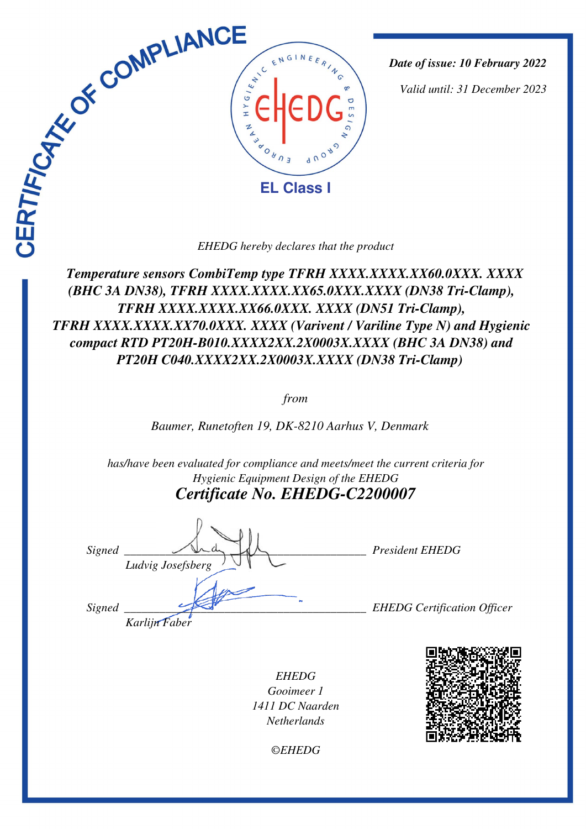

*Date of issue: 10 February 2022*

*Valid until: 31 December 2023*

 *Temperature sensors CombiTemp type TFRH-XXXX.XXXX.XX60.0XXX. XXXX (BHC 3A DN38), TFRH-XXXX.XXXX.XX65.0XXX.XXXX (DN38 Tri-Clamp), TFRH-XXXX.XXXX.XX66.0XXX. XXXX (DN51 Tri-Clamp), TFRH-XXXX.XXXX.XX70.0XXX. XXXX (Varivent / Variline Type N) and Hygienic compact RTD PT20H-B010.XXXX2XX.2X0003X.XXXX (BHC 3A DN38) and PT20H-C040.XXXX2XX.2X0003X.XXXX (DN38 Tri-Clamp)* 

*from*

*Baumer, Runetoften 19, DK-8210 Aarhus V, Denmark* 

*has/have been evaluated for compliance and meets/meet the current criteria for Hygienic Equipment Design of the EHEDG Certificate No. EHEDG-C2200007*

Signed  $\bigcup_{\alpha}$   $\bigcup_{\alpha}$   $\bigcup_{\alpha}$   $\bigcup_{\alpha}$  President EHEDG *Ludvig Josefsberg Signed \_\_\_\_\_\_\_\_\_\_\_\_\_\_\_\_\_\_\_\_\_\_\_\_\_\_\_\_\_\_\_\_\_\_\_\_\_\_\_\_\_ EHEDG Certification Officer Karlijn Faber*

*EHEDG Gooimeer 1 1411 DC Naarden Netherlands*



*©EHEDG*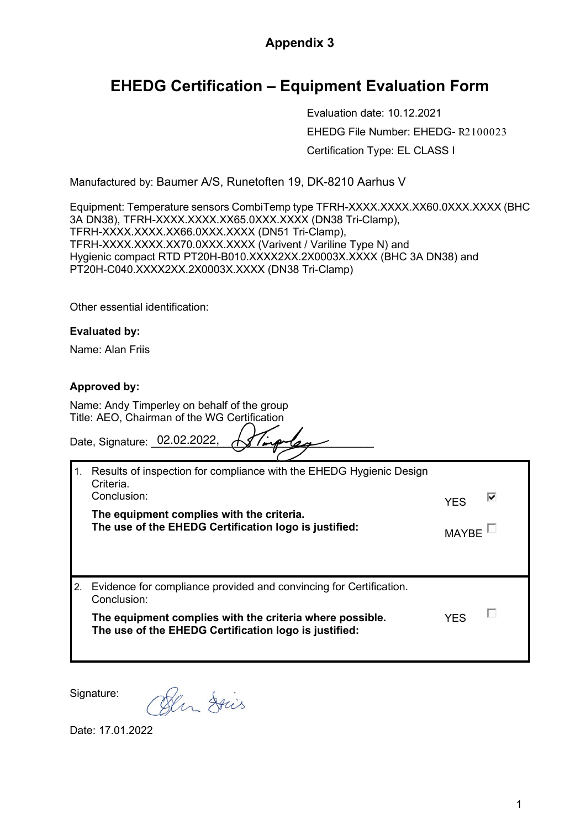## **Appendix 3**

# **EHEDG Certification – Equipment Evaluation Form**

Evaluation date: 10.12.2021 EHEDG File Number: EHEDG- R2100023 Certification Type: EL CLASS I

Manufactured by: Baumer A/S, Runetoften 19, DK-8210 Aarhus V

Equipment: Temperature sensors CombiTemp type TFRH-XXXX.XXXX.XX60.0XXX.XXXX (BHC 3A DN38), TFRH-XXXX.XXXX.XX65.0XXX.XXXX (DN38 Tri-Clamp), TFRH-XXXX.XXXX.XX66.0XXX.XXXX (DN51 Tri-Clamp), TFRH-XXXX.XXXX.XX70.0XXX.XXXX (Varivent / Variline Type N) and Hygienic compact RTD PT20H-B010.XXXX2XX.2X0003X.XXXX (BHC 3A DN38) and PT20H-C040.XXXX2XX.2X0003X.XXXX (DN38 Tri-Clamp)

Other essential identification:

### **Evaluated by:**

Name: Alan Friis

### **Approved by:**

Name: Andy Timperley on behalf of the group Title: AEO, Chairman of the WG Certification

Date, Signature: 02.02.2022,  $\sqrt{1/m}$  /  $\sqrt{2/m}$ 

| $-1.$            | Results of inspection for compliance with the EHEDG Hygienic Design<br>Criteria.<br>Conclusion:<br>The equipment complies with the criteria.<br>The use of the EHEDG Certification logo is justified:  | <b>YFS</b><br><b>MAYRE</b> | ↜ |
|------------------|--------------------------------------------------------------------------------------------------------------------------------------------------------------------------------------------------------|----------------------------|---|
| $\overline{2}$ . | Evidence for compliance provided and convincing for Certification.<br>Conclusion:<br>The equipment complies with the criteria where possible.<br>The use of the EHEDG Certification logo is justified: | <b>YFS</b>                 |   |

Signature:

Den Dries

Date: 17.01.2022